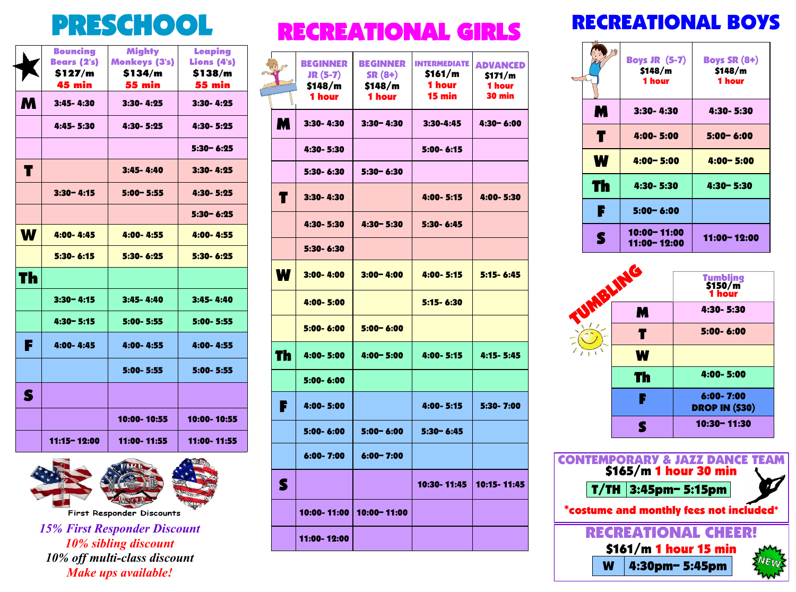|    | <b>Bouncing</b><br><b>Bears (2's)</b><br>\$127/m | <b>Mighty</b><br><b>Monkeys (3's)</b><br>\$134/m | Leaping<br>Lions (4's)<br>\$138/m |
|----|--------------------------------------------------|--------------------------------------------------|-----------------------------------|
|    | <b>45 min</b>                                    | <b>55 min</b>                                    | <b>55 min</b>                     |
| M  | 3:45-4:30                                        | $3:30 - 4:25$                                    | 3:30-4:25                         |
|    | 4:45-5:30                                        | 4:30-5:25                                        | 4:30-5:25                         |
|    |                                                  |                                                  | $5:30 - 6:25$                     |
| T  |                                                  | 3:45-4:40                                        | $3:30 - 4:25$                     |
|    | $3:30 - 4:15$                                    | $5:00 - 5:55$                                    | 4:30-5:25                         |
|    |                                                  |                                                  | $5:30 - 6:25$                     |
| W  | $4:00 - 4:45$                                    | 4:00-4:55                                        | 4:00-4:55                         |
|    | 5:30-6:15                                        | 5:30-6:25                                        | 5:30-6:25                         |
| Th |                                                  |                                                  |                                   |
|    | $3:30 - 4:15$                                    | 3:45-4:40                                        | 3:45-4:40                         |
|    | 4:30-5:15                                        | 5:00-5:55                                        | 5:00-5:55                         |
| F  | $4:00 - 4:45$                                    | 4:00-4:55                                        | 4:00-4:55                         |
|    |                                                  | $5:00 - 5:55$                                    | 5:00-5:55                         |
| S  |                                                  |                                                  |                                   |
|    |                                                  | 10:00-10:55                                      | 10:00-10:55                       |
|    | 11:15-12:00                                      | 11:00-11:55                                      | 11:00-11:55                       |



First Responder Discounts

*15% First Responder Discount 10% sibling discount 10% off multi-class discount Make ups available!*

## PRESCHOOL RECREATIONAL GIRLS

|    | <b>BEGINNER</b><br>$JR(5-7)$<br>\$148/m<br>1 hour | <b>BEGINNER</b><br>$SR(8+)$<br>\$148/m<br>1 hour | <b>INTERMEDIATE</b><br>\$161/m<br><b>1 hour</b><br>15 min | <b>ADVANCED</b><br>\$171/m<br>1 hour<br><b>30 min</b> |
|----|---------------------------------------------------|--------------------------------------------------|-----------------------------------------------------------|-------------------------------------------------------|
| M  | $3:30 - 4:30$                                     | $3:30 - 4:30$                                    | $3:30 - 4:45$                                             | $4:30 - 6:00$                                         |
|    | 4:30-5:30                                         |                                                  | 5:00-6:15                                                 |                                                       |
|    | 5:30-6:30                                         | $5:30 - 6:30$                                    |                                                           |                                                       |
| T  | 3:30-4:30                                         |                                                  | 4:00-5:15                                                 | 4:00-5:30                                             |
|    | 4:30-5:30                                         | $4:30 - 5:30$                                    | 5:30-6:45                                                 |                                                       |
|    | 5:30-6:30                                         |                                                  |                                                           |                                                       |
| W  | $3:00 - 4:00$                                     | $3:00 - 4:00$                                    | 4:00-5:15                                                 | $5:15 - 6:45$                                         |
|    | 4:00-5:00                                         |                                                  | 5:15-6:30                                                 |                                                       |
|    | $5:00 - 6:00$                                     | $5:00 - 6:00$                                    |                                                           |                                                       |
| Th | 4:00-5:00                                         | $4:00 - 5:00$                                    | 4:00-5:15                                                 | 4:15 - 5:45                                           |
|    | 5:00-6:00                                         |                                                  |                                                           |                                                       |
| r  | 4:00- 5:00                                        |                                                  | 4:00- 5:15                                                | 5:30- 7:00                                            |
|    | 5:00-6:00                                         | $5:00 - 6:00$                                    | $5:30 - 6:45$                                             |                                                       |
|    | $6:00 - 7:00$                                     | $6:00 - 7:00$                                    |                                                           |                                                       |
| S  |                                                   |                                                  | 10:30-11:45                                               | 10:15 - 11:45                                         |
|    | 10:00-11:00                                       | 10:00 - 11:00                                    |                                                           |                                                       |
|    | 11:00-12:00                                       |                                                  |                                                           |                                                       |

## RECREATIONAL BOYS

|    | <b>Boys JR (5-7)</b><br>\$148/m<br>1 hour | <b>Boys SR (8+)</b><br>\$148/m<br><b>1 hour</b> |
|----|-------------------------------------------|-------------------------------------------------|
| M  | $3:30 - 4:30$                             | 4:30-5:30                                       |
| T  | 4:00-5:00                                 | $5:00 - 6:00$                                   |
| W  | $4:00 - 5:00$                             | $4:00 - 5:00$                                   |
| Th | 4:30-5:30                                 | 4:30-5:30                                       |
| F  | $5:00 - 6:00$                             |                                                 |
| S  | 10:00 - 11:00<br>11:00-12:00              | 11:00-12:00                                     |